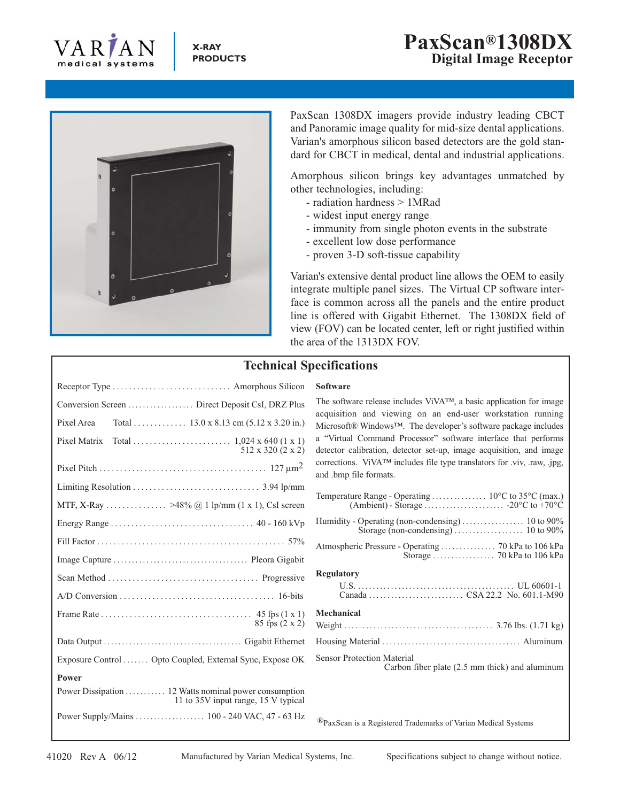



PaxScan 1308DX imagers provide industry leading CBCT and Panoramic image quality for mid-size dental applications. Varian's amorphous silicon based detectors are the gold standard for CBCT in medical, dental and industrial applications.

Amorphous silicon brings key advantages unmatched by other technologies, including:

- radiation hardness > 1MRad
- widest input energy range
- immunity from single photon events in the substrate
- excellent low dose performance
- proven 3-D soft-tissue capability

Varian's extensive dental product line allows the OEM to easily integrate multiple panel sizes. The Virtual CP software interface is common across all the panels and the entire product line is offered with Gigabit Ethernet. The 1308DX field of view (FOV) can be located center, left or right justified within the area of the 1313DX FOV.

## **Technical Specifications**

## **Software**

The software release includes ViVA™, a basic application for image acquisition and viewing on an end-user workstation running Microsoft® Windows™. The developer's software package includes a "Virtual Command Processor" software interface that performs detector calibration, detector set-up, image acquisition, and image corrections. ViVA™ includes file type translators for .viv, .raw, .jpg, and .bmp file formats.

| <b>Regulatory</b>                                                                   |
|-------------------------------------------------------------------------------------|
|                                                                                     |
| Mechanical                                                                          |
|                                                                                     |
|                                                                                     |
| <b>Sensor Protection Material</b><br>Carbon fiber plate (2.5 mm thick) and aluminum |

®PaxScan is a Registered Trademarks of Varian Medical Systems